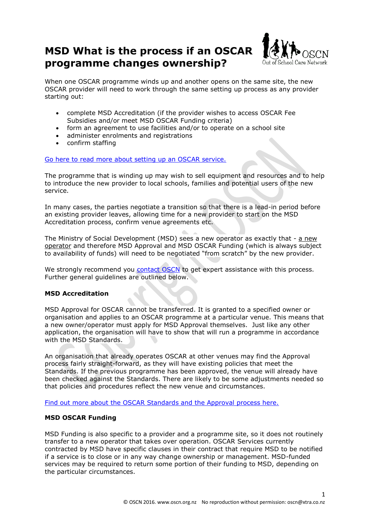# **MSD What is the process if an OSCAR programme changes ownership?**



When one OSCAR programme winds up and another opens on the same site, the new OSCAR provider will need to work through the same setting up process as any provider starting out:

- complete MSD Accreditation (if the provider wishes to access OSCAR Fee Subsidies and/or meet MSD OSCAR Funding criteria)
- form an agreement to use facilities and/or to operate on a school site
- administer enrolments and registrations
- confirm staffing

[Go here to read more about setting up an OSCAR service.](https://www.oscn.nz/page/gettingstarted.html)

The programme that is winding up may wish to sell equipment and resources and to help to introduce the new provider to local schools, families and potential users of the new service.

In many cases, the parties negotiate a transition so that there is a lead-in period before an existing provider leaves, allowing time for a new provider to start on the MSD Accreditation process, confirm venue agreements etc.

The Ministry of Social Development (MSD) sees a new operator as exactly that - a new operator and therefore MSD Approval and MSD OSCAR Funding (which is always subject to availability of funds) will need to be negotiated "from scratch" by the new provider.

We strongly recommend you [contact OSCN](https://www.oscn.nz/page/about-OSCN.html) to get expert assistance with this process. Further general guidelines are outlined below.

## **MSD Accreditation**

MSD Approval for OSCAR cannot be transferred. It is granted to a specified owner or organisation and applies to an OSCAR programme at a particular venue. This means that a new owner/operator must apply for MSD Approval themselves. Just like any other application, the organisation will have to show that will run a programme in accordance with the MSD Standards.

An organisation that already operates OSCAR at other venues may find the Approval process fairly straight-forward, as they will have existing policies that meet the Standards. If the previous programme has been approved, the venue will already have been checked against the Standards. There are likely to be some adjustments needed so that policies and procedures reflect the new venue and circumstances.

[Find out more about the OSCAR Standards and the Approval process here.](https://www.oscarnz.nz/accreditation)

## **MSD OSCAR Funding**

MSD Funding is also specific to a provider and a programme site, so it does not routinely transfer to a new operator that takes over operation. OSCAR Services currently contracted by MSD have specific clauses in their contract that require MSD to be notified if a service is to close or in any way change ownership or management. MSD-funded services may be required to return some portion of their funding to MSD, depending on the particular circumstances.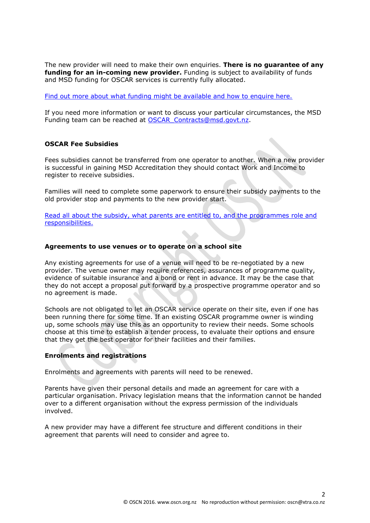The new provider will need to make their own enquiries. **There is no guarantee of any funding for an in-coming new provider.** Funding is subject to availability of funds and MSD funding for OSCAR services is currently fully allocated.

[Find out more about what funding might be available and how to enquire here.](https://www.workandincome.govt.nz/providers/childcare-assistance/oscar-grants.html)

If you need more information or want to discuss your particular circumstances, the MSD Funding team can be reached at [OSCAR\\_Contracts@msd.govt.nz.](mailto:OSCAR_Contracts@msd.govt.nz)

# **OSCAR Fee Subsidies**

Fees subsidies cannot be transferred from one operator to another. When a new provider is successful in gaining MSD Accreditation they should contact Work and Income to register to receive subsidies.

Families will need to complete some paperwork to ensure their subsidy payments to the old provider stop and payments to the new provider start.

[Read all about the subsidy, what parents are entitled to, and the programmes role and](https://www.workandincome.govt.nz/products/a-z-benefits/oscar-subsidy.html)  [responsibilities.](https://www.workandincome.govt.nz/products/a-z-benefits/oscar-subsidy.html)

#### **Agreements to use venues or to operate on a school site**

Any existing agreements for use of a venue will need to be re-negotiated by a new provider. The venue owner may require references, assurances of programme quality, evidence of suitable insurance and a bond or rent in advance. It may be the case that they do not accept a proposal put forward by a prospective programme operator and so no agreement is made.

Schools are not obligated to let an OSCAR service operate on their site, even if one has been running there for some time. If an existing OSCAR programme owner is winding up, some schools may use this as an opportunity to review their needs. Some schools choose at this time to establish a tender process, to evaluate their options and ensure that they get the best operator for their facilities and their families.

## **Enrolments and registrations**

Enrolments and agreements with parents will need to be renewed.

Parents have given their personal details and made an agreement for care with a particular organisation. Privacy legislation means that the information cannot be handed over to a different organisation without the express permission of the individuals involved.

A new provider may have a different fee structure and different conditions in their agreement that parents will need to consider and agree to.